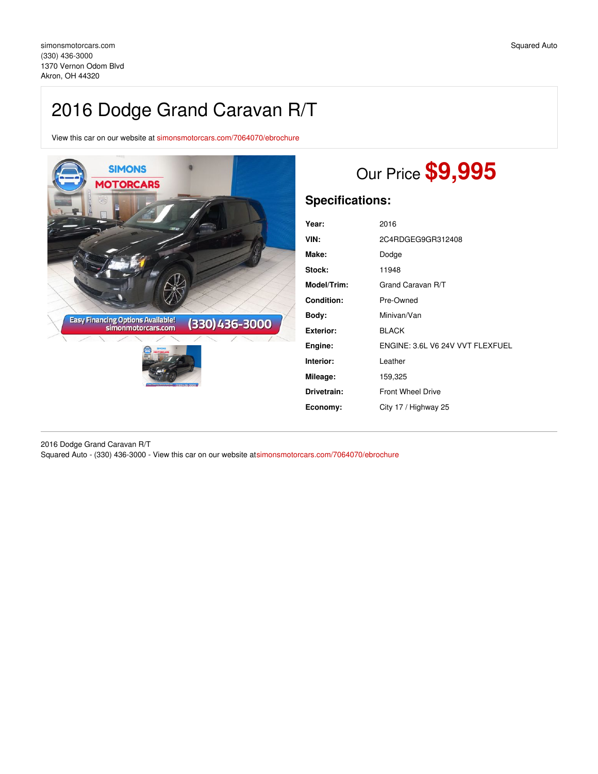# 2016 Dodge Grand Caravan R/T

View this car on our website at [simonsmotorcars.com/7064070/ebrochure](https://simonsmotorcars.com/vehicle/7064070/2016-dodge-grand-caravan-r-t-akron-oh-44320/7064070/ebrochure)



# Our Price **\$9,995**

## **Specifications:**

| Year:            | 2016                             |
|------------------|----------------------------------|
| VIN:             | 2C4RDGEG9GR312408                |
| Make:            | Dodge                            |
| Stock:           | 11948                            |
| Model/Trim:      | Grand Caravan R/T                |
| Condition:       | Pre-Owned                        |
| Body:            | Minivan/Van                      |
| <b>Exterior:</b> | <b>BLACK</b>                     |
| Engine:          | ENGINE: 3.6L V6 24V VVT FLEXFUEL |
| Interior:        | Leather                          |
| Mileage:         | 159,325                          |
| Drivetrain:      | <b>Front Wheel Drive</b>         |
| Economy:         | City 17 / Highway 25             |

2016 Dodge Grand Caravan R/T Squared Auto - (330) 436-3000 - View this car on our website a[tsimonsmotorcars.com/7064070/ebrochure](https://simonsmotorcars.com/vehicle/7064070/2016-dodge-grand-caravan-r-t-akron-oh-44320/7064070/ebrochure)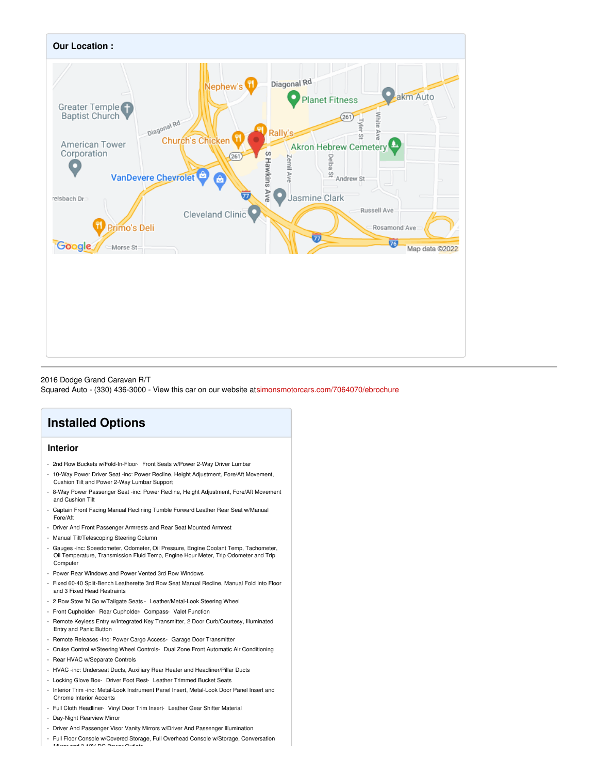

2016 Dodge Grand Caravan R/T

Squared Auto - (330) 436-3000 - View this car on our website a[tsimonsmotorcars.com/7064070/ebrochure](https://simonsmotorcars.com/vehicle/7064070/2016-dodge-grand-caravan-r-t-akron-oh-44320/7064070/ebrochure)

# **Installed Options**

## **Interior**

- 2nd Row Buckets w/Fold-In-Floor- Front Seats w/Power 2-Way Driver Lumbar
- 10-Way Power Driver Seat -inc: Power Recline, Height Adjustment, Fore/Aft Movement, Cushion Tilt and Power 2-Way Lumbar Support
- 8-Way Power Passenger Seat -inc: Power Recline, Height Adjustment, Fore/Aft Movement and Cushion Tilt
- Captain Front Facing Manual Reclining Tumble Forward Leather Rear Seat w/Manual Fore/Aft
- Driver And Front Passenger Armrests and Rear Seat Mounted Armrest
- Manual Tilt/Telescoping Steering Column
- Gauges -inc: Speedometer, Odometer, Oil Pressure, Engine Coolant Temp, Tachometer, Oil Temperature, Transmission Fluid Temp, Engine Hour Meter, Trip Odometer and Trip **Computer**
- Power Rear Windows and Power Vented 3rd Row Windows
- Fixed 60-40 Split-Bench Leatherette 3rd Row Seat Manual Recline, Manual Fold Into Floor and 3 Fixed Head Restraints
- 2 Row Stow 'N Go w/Tailgate Seats Leather/Metal-Look Steering Wheel
- Front Cupholder- Rear Cupholder- Compass- Valet Function
- Remote Keyless Entry w/Integrated Key Transmitter, 2 Door Curb/Courtesy, Illuminated Entry and Panic Button
- Remote Releases -Inc: Power Cargo Access- Garage Door Transmitter
- Cruise Control w/Steering Wheel Controls- Dual Zone Front Automatic Air Conditioning
- Rear HVAC w/Separate Controls
- HVAC -inc: Underseat Ducts, Auxiliary Rear Heater and Headliner/Pillar Ducts
- Locking Glove Box- Driver Foot Rest- Leather Trimmed Bucket Seats
- Interior Trim -inc: Metal-Look Instrument Panel Insert, Metal-Look Door Panel Insert and Chrome Interior Accents
- Full Cloth Headliner- Vinyl Door Trim Insert- Leather Gear Shifter Material
- Day-Night Rearview Mirror
- Driver And Passenger Visor Vanity Mirrors w/Driver And Passenger Illumination
- Full Floor Console w/Covered Storage, Full Overhead Console w/Storage, Conversation  $\sim$  and 3 10V DC Power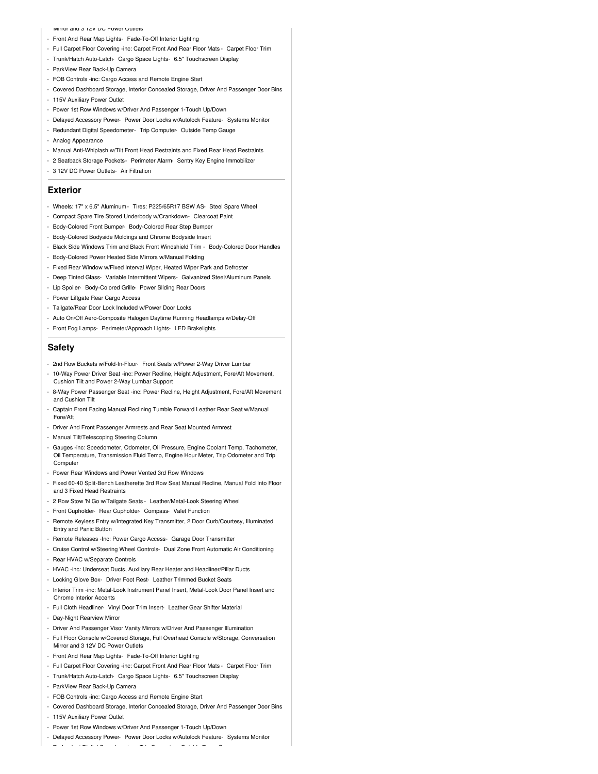#### Mirror and 3 12V DC Power Outlets

- Front And Rear Map Lights- Fade-To-Off Interior Lighting
- Full Carpet Floor Covering -inc: Carpet Front And Rear Floor Mats Carpet Floor Trim
- Trunk/Hatch Auto-Latch- Cargo Space Lights- 6.5" Touchscreen Display
- ParkView Rear Back-Up Camera
- FOB Controls -inc: Cargo Access and Remote Engine Start
- Covered Dashboard Storage, Interior Concealed Storage, Driver And Passenger Door Bins
- 115V Auxiliary Power Outlet
- Power 1st Row Windows w/Driver And Passenger 1-Touch Up/Down
- Delayed Accessory Power- Power Door Locks w/Autolock Feature- Systems Monitor
- Redundant Digital Speedometer- Trip Computer- Outside Temp Gauge
- Analog Appearance
- Manual Anti-Whiplash w/Tilt Front Head Restraints and Fixed Rear Head Restraints
- 2 Seatback Storage Pockets- Perimeter Alarm- Sentry Key Engine Immobilizer
- 3 12V DC Power Outlets- Air Filtration

#### **Exterior**

- Wheels: 17" x 6.5" Aluminum Tires: P225/65R17 BSW AS- Steel Spare Wheel
- Compact Spare Tire Stored Underbody w/Crankdown- Clearcoat Paint
- Body-Colored Front Bumper- Body-Colored Rear Step Bumper
- Body-Colored Bodyside Moldings and Chrome Bodyside Insert
- Black Side Windows Trim and Black Front Windshield Trim Body-Colored Door Handles
- Body-Colored Power Heated Side Mirrors w/Manual Folding
- Fixed Rear Window w/Fixed Interval Wiper, Heated Wiper Park and Defroster
- Deep Tinted Glass- Variable Intermittent Wipers- Galvanized Steel/Aluminum Panels
- Lip Spoiler- Body-Colored Grille- Power Sliding Rear Doors
- Power Liftgate Rear Cargo Access
- Tailgate/Rear Door Lock Included w/Power Door Locks
- Auto On/Off Aero-Composite Halogen Daytime Running Headlamps w/Delay-Off
- Front Fog Lamps- Perimeter/Approach Lights- LED Brakelights

### **Safety**

- 2nd Row Buckets w/Fold-In-Floor- Front Seats w/Power 2-Way Driver Lumbar
- 10-Way Power Driver Seat -inc: Power Recline, Height Adjustment, Fore/Aft Movement, Cushion Tilt and Power 2-Way Lumbar Support
- 8-Way Power Passenger Seat -inc: Power Recline, Height Adjustment, Fore/Aft Movement and Cushion Tilt
- Captain Front Facing Manual Reclining Tumble Forward Leather Rear Seat w/Manual Fore/Aft
- Driver And Front Passenger Armrests and Rear Seat Mounted Armrest
- Manual Tilt/Telescoping Steering Column
- Gauges -inc: Speedometer, Odometer, Oil Pressure, Engine Coolant Temp, Tachometer, Oil Temperature, Transmission Fluid Temp, Engine Hour Meter, Trip Odometer and Trip **Computer**
- Power Rear Windows and Power Vented 3rd Row Windows
- Fixed 60-40 Split-Bench Leatherette 3rd Row Seat Manual Recline, Manual Fold Into Floor and 3 Fixed Head Restraints
- 2 Row Stow 'N Go w/Tailgate Seats Leather/Metal-Look Steering Wheel
- Front Cupholder- Rear Cupholder- Compass- Valet Function
- Remote Keyless Entry w/Integrated Key Transmitter, 2 Door Curb/Courtesy, Illuminated Entry and Panic Button
- Remote Releases -Inc: Power Cargo Access- Garage Door Transmitter
- Cruise Control w/Steering Wheel Controls- Dual Zone Front Automatic Air Conditioning
- Rear HVAC w/Separate Controls
- HVAC -inc: Underseat Ducts, Auxiliary Rear Heater and Headliner/Pillar Ducts
- Locking Glove Box- Driver Foot Rest- Leather Trimmed Bucket Seats
- Interior Trim -inc: Metal-Look Instrument Panel Insert, Metal-Look Door Panel Insert and Chrome Interior Accents
- Full Cloth Headliner- Vinyl Door Trim Insert- Leather Gear Shifter Material
- Day-Night Rearview Mirror
- Driver And Passenger Visor Vanity Mirrors w/Driver And Passenger Illumination
- Full Floor Console w/Covered Storage, Full Overhead Console w/Storage, Conversation Mirror and 3 12V DC Power Outlets
- Front And Rear Map Lights- Fade-To-Off Interior Lighting
- Full Carpet Floor Covering -inc: Carpet Front And Rear Floor Mats Carpet Floor Trim
- Trunk/Hatch Auto-Latch- Cargo Space Lights- 6.5" Touchscreen Display
- ParkView Rear Back-Up Camera
- FOB Controls -inc: Cargo Access and Remote Engine Start
- Covered Dashboard Storage, Interior Concealed Storage, Driver And Passenger Door Bins
- 115V Auxiliary Power Outlet
- Power 1st Row Windows w/Driver And Passenger 1-Touch Up/Down
- Delayed Accessory Power- Power Door Locks w/Autolock Feature- Systems Monitor

- Redundant Digital Speedometer- Trip Computer- Outside Temp Gauge